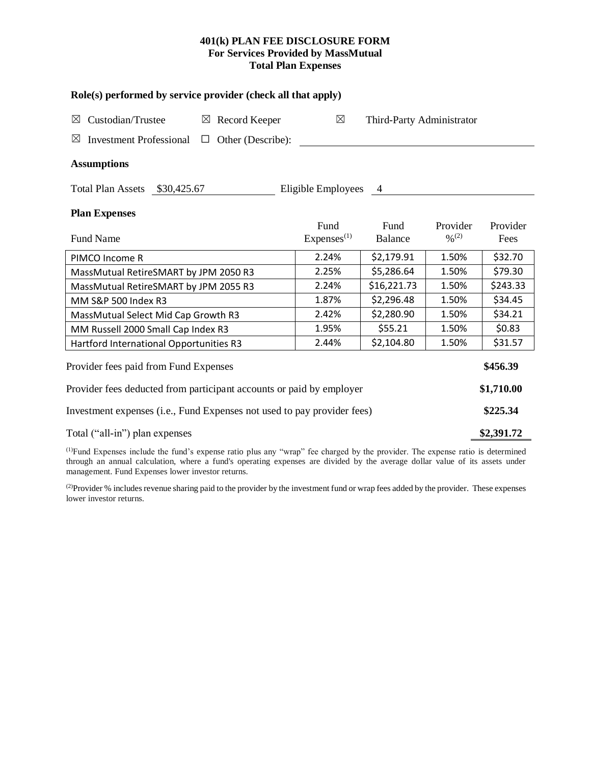## **401(k) PLAN FEE DISCLOSURE FORM For Services Provided by MassMutual Total Plan Expenses**

| Role(s) performed by service provider (check all that apply)                 |                                |                           |                                          |                  |  |  |  |  |  |
|------------------------------------------------------------------------------|--------------------------------|---------------------------|------------------------------------------|------------------|--|--|--|--|--|
| Custodian/Trustee<br>$\boxtimes$ Record Keeper<br>$\boxtimes$                | $\boxtimes$                    | Third-Party Administrator |                                          |                  |  |  |  |  |  |
| $\boxtimes$<br><b>Investment Professional</b><br>Other (Describe):<br>$\Box$ |                                |                           |                                          |                  |  |  |  |  |  |
| <b>Assumptions</b>                                                           |                                |                           |                                          |                  |  |  |  |  |  |
| Total Plan Assets \$30,425.67                                                | Eligible Employees 4           |                           |                                          |                  |  |  |  |  |  |
| <b>Plan Expenses</b>                                                         |                                |                           |                                          |                  |  |  |  |  |  |
| <b>Fund Name</b>                                                             | Fund<br>Express <sup>(1)</sup> | Fund<br>Balance           | Provider<br>$\frac{0}{2}$ <sup>(2)</sup> | Provider<br>Fees |  |  |  |  |  |
| PIMCO Income R                                                               | 2.24%                          | \$2,179.91                | 1.50%                                    | \$32.70          |  |  |  |  |  |
| MassMutual RetireSMART by JPM 2050 R3                                        | 2.25%                          | \$5,286.64                | 1.50%                                    | \$79.30          |  |  |  |  |  |
| MassMutual RetireSMART by JPM 2055 R3                                        | 2.24%                          | \$16,221.73               | 1.50%                                    | \$243.33         |  |  |  |  |  |
| MM S&P 500 Index R3                                                          | 1.87%                          | \$2,296.48                | 1.50%                                    | \$34.45          |  |  |  |  |  |
| MassMutual Select Mid Cap Growth R3                                          | 2.42%                          | \$2,280.90                | 1.50%                                    | \$34.21          |  |  |  |  |  |
| MM Russell 2000 Small Cap Index R3                                           | 1.95%                          | \$55.21                   | 1.50%                                    | \$0.83           |  |  |  |  |  |
| Hartford International Opportunities R3                                      | 2.44%                          | \$2,104.80                | 1.50%                                    | \$31.57          |  |  |  |  |  |
| Provider fees paid from Fund Expenses                                        |                                |                           |                                          |                  |  |  |  |  |  |
| Provider fees deducted from participant accounts or paid by employer         |                                |                           |                                          |                  |  |  |  |  |  |
| Investment expenses (i.e., Fund Expenses not used to pay provider fees)      |                                |                           |                                          |                  |  |  |  |  |  |
| Total ("all-in") plan expenses                                               |                                |                           |                                          |                  |  |  |  |  |  |

(1)Fund Expenses include the fund's expense ratio plus any "wrap" fee charged by the provider. The expense ratio is determined through an annual calculation, where a fund's operating expenses are divided by the average dollar value of its assets under management. Fund Expenses lower investor returns.

(2) Provider % includes revenue sharing paid to the provider by the investment fund or wrap fees added by the provider. These expenses lower investor returns.